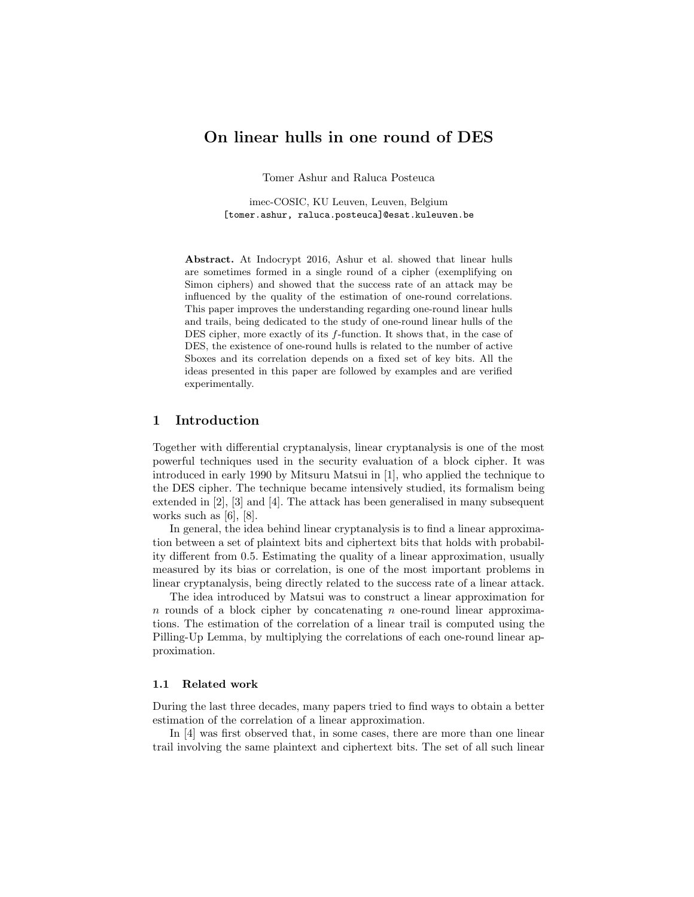# On linear hulls in one round of DES

Tomer Ashur and Raluca Posteuca

imec-COSIC, KU Leuven, Leuven, Belgium [tomer.ashur, raluca.posteuca]@esat.kuleuven.be

Abstract. At Indocrypt 2016, Ashur et al. showed that linear hulls are sometimes formed in a single round of a cipher (exemplifying on Simon ciphers) and showed that the success rate of an attack may be influenced by the quality of the estimation of one-round correlations. This paper improves the understanding regarding one-round linear hulls and trails, being dedicated to the study of one-round linear hulls of the DES cipher, more exactly of its  $f$ -function. It shows that, in the case of DES, the existence of one-round hulls is related to the number of active Sboxes and its correlation depends on a fixed set of key bits. All the ideas presented in this paper are followed by examples and are verified experimentally.

## 1 Introduction

Together with differential cryptanalysis, linear cryptanalysis is one of the most powerful techniques used in the security evaluation of a block cipher. It was introduced in early 1990 by Mitsuru Matsui in [1], who applied the technique to the DES cipher. The technique became intensively studied, its formalism being extended in [2], [3] and [4]. The attack has been generalised in many subsequent works such as [6], [8].

In general, the idea behind linear cryptanalysis is to find a linear approximation between a set of plaintext bits and ciphertext bits that holds with probability different from 0.5. Estimating the quality of a linear approximation, usually measured by its bias or correlation, is one of the most important problems in linear cryptanalysis, being directly related to the success rate of a linear attack.

The idea introduced by Matsui was to construct a linear approximation for  $n$  rounds of a block cipher by concatenating  $n$  one-round linear approximations. The estimation of the correlation of a linear trail is computed using the Pilling-Up Lemma, by multiplying the correlations of each one-round linear approximation.

### 1.1 Related work

During the last three decades, many papers tried to find ways to obtain a better estimation of the correlation of a linear approximation.

In [4] was first observed that, in some cases, there are more than one linear trail involving the same plaintext and ciphertext bits. The set of all such linear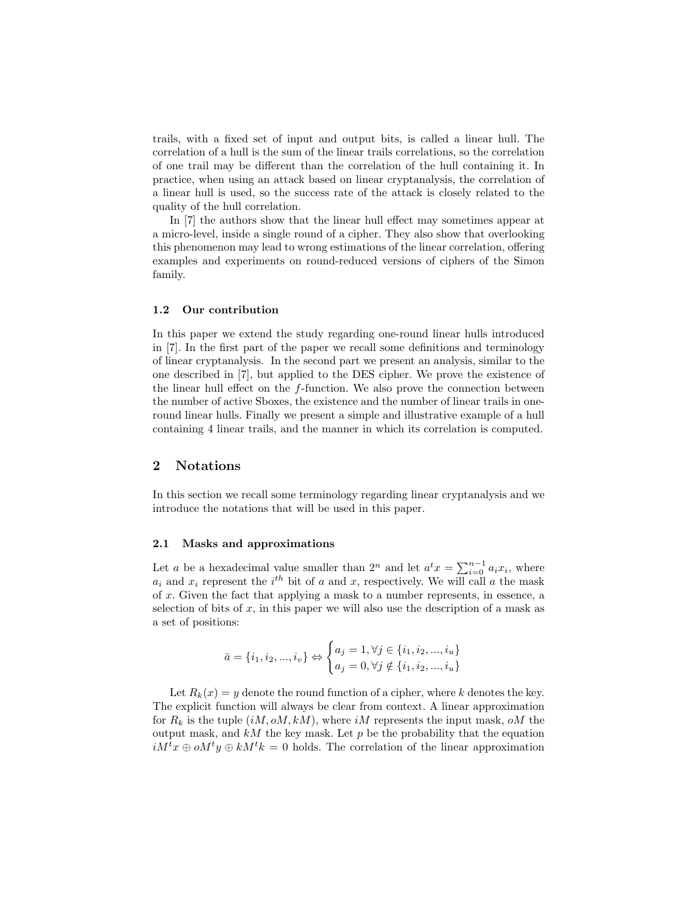trails, with a fixed set of input and output bits, is called a linear hull. The correlation of a hull is the sum of the linear trails correlations, so the correlation of one trail may be different than the correlation of the hull containing it. In practice, when using an attack based on linear cryptanalysis, the correlation of a linear hull is used, so the success rate of the attack is closely related to the quality of the hull correlation.

In [7] the authors show that the linear hull effect may sometimes appear at a micro-level, inside a single round of a cipher. They also show that overlooking this phenomenon may lead to wrong estimations of the linear correlation, offering examples and experiments on round-reduced versions of ciphers of the Simon family.

### 1.2 Our contribution

In this paper we extend the study regarding one-round linear hulls introduced in [7]. In the first part of the paper we recall some definitions and terminology of linear cryptanalysis. In the second part we present an analysis, similar to the one described in [7], but applied to the DES cipher. We prove the existence of the linear hull effect on the f-function. We also prove the connection between the number of active Sboxes, the existence and the number of linear trails in oneround linear hulls. Finally we present a simple and illustrative example of a hull containing 4 linear trails, and the manner in which its correlation is computed.

# 2 Notations

In this section we recall some terminology regarding linear cryptanalysis and we introduce the notations that will be used in this paper.

### 2.1 Masks and approximations

Let a be a hexadecimal value smaller than  $2^n$  and let  $a^t x = \sum_{i=0}^{n-1} a_i x_i$ , where  $a_i$  and  $x_i$  represent the  $i^{th}$  bit of a and x, respectively. We will call a the mask of x. Given the fact that applying a mask to a number represents, in essence, a selection of bits of  $x$ , in this paper we will also use the description of a mask as a set of positions:

$$
\bar{a} = \{i_1, i_2, ..., i_v\} \Leftrightarrow \begin{cases} a_j = 1, \forall j \in \{i_1, i_2, ..., i_u\} \\ a_j = 0, \forall j \notin \{i_1, i_2, ..., i_u\} \end{cases}
$$

Let  $R_k(x) = y$  denote the round function of a cipher, where k denotes the key. The explicit function will always be clear from context. A linear approximation for  $R_k$  is the tuple  $(iM, oM, kM)$ , where  $iM$  represents the input mask, oM the output mask, and  $kM$  the key mask. Let  $p$  be the probability that the equation  $iM^tx \oplus oM^ty \oplus kM^tk = 0$  holds. The correlation of the linear approximation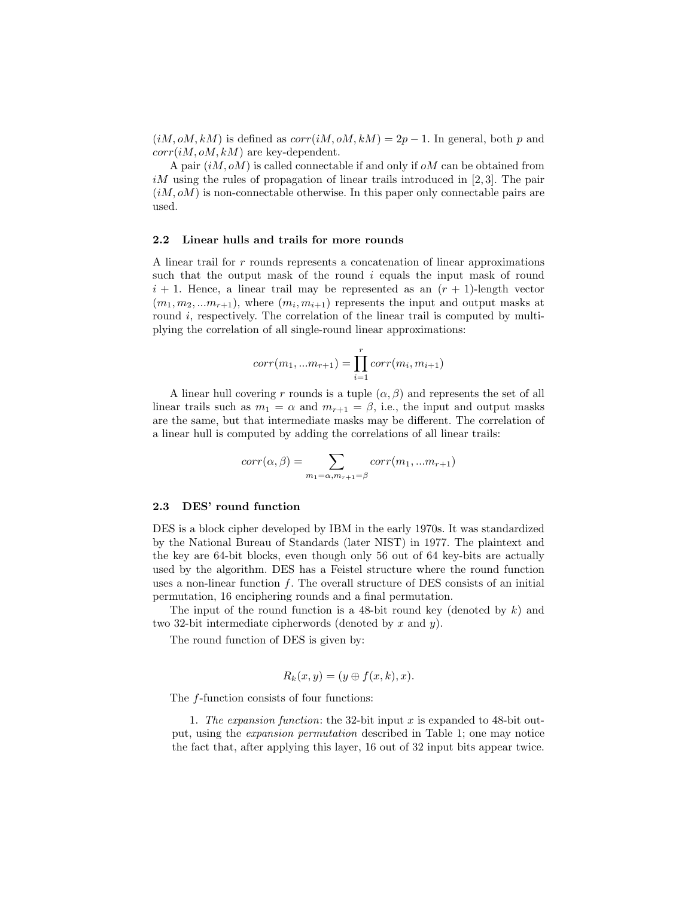$(iM, oM, kM)$  is defined as  $corr(iM, oM, kM) = 2p - 1$ . In general, both p and  $corr(iM, oM, kM)$  are key-dependent.

A pair  $(iM, oM)$  is called connectable if and only if  $oM$  can be obtained from  $iM$  using the rules of propagation of linear trails introduced in [2,3]. The pair  $(iM, oM)$  is non-connectable otherwise. In this paper only connectable pairs are used.

### 2.2 Linear hulls and trails for more rounds

A linear trail for r rounds represents a concatenation of linear approximations such that the output mask of the round  $i$  equals the input mask of round  $i + 1$ . Hence, a linear trail may be represented as an  $(r + 1)$ -length vector  $(m_1, m_2, ... m_{r+1})$ , where  $(m_i, m_{i+1})$  represents the input and output masks at round  $i$ , respectively. The correlation of the linear trail is computed by multiplying the correlation of all single-round linear approximations:

$$
corr(m_1, ... m_{r+1}) = \prod_{i=1}^{r} corr(m_i, m_{i+1})
$$

A linear hull covering r rounds is a tuple  $(\alpha, \beta)$  and represents the set of all linear trails such as  $m_1 = \alpha$  and  $m_{r+1} = \beta$ , i.e., the input and output masks are the same, but that intermediate masks may be different. The correlation of a linear hull is computed by adding the correlations of all linear trails:

$$
corr(\alpha, \beta) = \sum_{m_1 = \alpha, m_{r+1} = \beta} corr(m_1, ... m_{r+1})
$$

#### 2.3 DES' round function

DES is a block cipher developed by IBM in the early 1970s. It was standardized by the National Bureau of Standards (later NIST) in 1977. The plaintext and the key are 64-bit blocks, even though only 56 out of 64 key-bits are actually used by the algorithm. DES has a Feistel structure where the round function uses a non-linear function  $f$ . The overall structure of DES consists of an initial permutation, 16 enciphering rounds and a final permutation.

The input of the round function is a 48-bit round key (denoted by  $k$ ) and two 32-bit intermediate cipherwords (denoted by x and y).

The round function of DES is given by:

$$
R_k(x, y) = (y \oplus f(x, k), x).
$$

The f-function consists of four functions:

1. The expansion function: the 32-bit input x is expanded to 48-bit output, using the expansion permutation described in Table 1; one may notice the fact that, after applying this layer, 16 out of 32 input bits appear twice.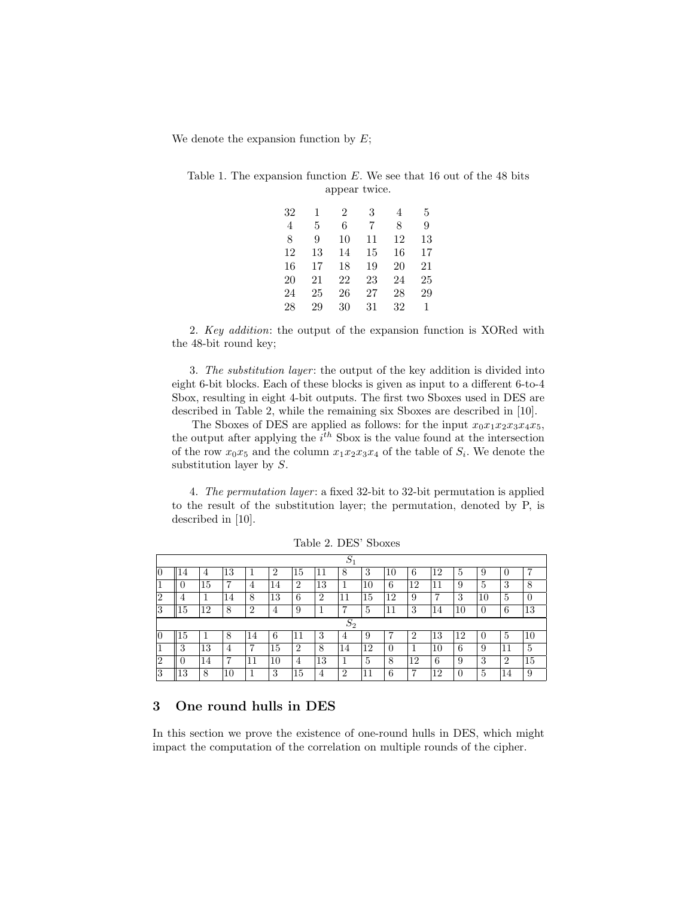We denote the expansion function by  $E$ ;

|  | Table 1. The expansion function $E$ . We see that 16 out of the 48 bits |  |               |  |  |  |  |
|--|-------------------------------------------------------------------------|--|---------------|--|--|--|--|
|  |                                                                         |  | appear twice. |  |  |  |  |

| 32 | 1  | 2  | 3  | 4  | 5  |
|----|----|----|----|----|----|
| 4  | 5  | 6  | 7  | 8  | 9  |
| 8  | 9  | 10 | 11 | 12 | 13 |
| 12 | 13 | 14 | 15 | 16 | 17 |
| 16 | 17 | 18 | 19 | 20 | 21 |
| 20 | 21 | 22 | 23 | 24 | 25 |
| 24 | 25 | 26 | 27 | 28 | 29 |
| 28 | 29 | 30 | 31 | 32 | 1  |

2. Key addition: the output of the expansion function is XORed with the 48-bit round key;

3. The substitution layer: the output of the key addition is divided into eight 6-bit blocks. Each of these blocks is given as input to a different 6-to-4 Sbox, resulting in eight 4-bit outputs. The first two Sboxes used in DES are described in Table 2, while the remaining six Sboxes are described in [10].

The Sboxes of DES are applied as follows: for the input  $x_0x_1x_2x_3x_4x_5$ , the output after applying the  $i^{th}$  Sbox is the value found at the intersection of the row  $x_0x_5$  and the column  $x_1x_2x_3x_4$  of the table of  $S_i$ . We denote the substitution layer by S.

4. The permutation layer: a fixed 32-bit to 32-bit permutation is applied to the result of the substitution layer; the permutation, denoted by P, is described in [10].

|        |       |    |    |                |                |                |                | $\curvearrowright$<br>$\mathcal{D}1$ |    |                  |                |    |    |          |                |    |
|--------|-------|----|----|----------------|----------------|----------------|----------------|--------------------------------------|----|------------------|----------------|----|----|----------|----------------|----|
| 10     | 14    | 4  | 13 |                | $\overline{2}$ | 15             | 11             | 8                                    | 3  | 10               | 6              | 12 | 5  | 9        | 0              | 7  |
|        | O     | 15 | 7  | 4              | 14             | $\overline{2}$ | 13             | 1                                    | 10 | 6                | 12             | 11 | 9  | 5        | 3              | 8  |
| റ<br>∠ | 4     |    | 14 | 8              | 13             | 6              | $\overline{2}$ | 11                                   | 15 | $12^{\circ}$     | 9              | 7  | 3  | 10       | 5              | 0  |
| 3      | L5    | 12 | 8  | $\overline{2}$ | 4              | 9              |                | 7                                    | 5  | 11               | 3              | 14 | 10 | $\Omega$ | 6              | 13 |
|        | $S_2$ |    |    |                |                |                |                |                                      |    |                  |                |    |    |          |                |    |
|        |       |    |    |                |                |                |                |                                      |    |                  |                |    |    |          |                |    |
| 10     | 15    |    | 8  | 14             | 6              | 11             | 3              | 4                                    | 9  | ⋻                | $\overline{2}$ | 13 | 12 | $\Omega$ | $\overline{5}$ | 10 |
|        | 3     | 13 | 4  | 7              | 15             | $\overline{2}$ | 8              | 14                                   | 12 | $\left( \right)$ |                | 10 | 6  | 9        |                | 5  |
| $^{2}$ | 0     | 14 | 7  | 11             | 10             | 4              | 13             | 1                                    | 5  | 8                | 12             | 6  | 9  | 3        | $\overline{2}$ | 15 |

Table 2. DES' Sboxes

# 3 One round hulls in DES

In this section we prove the existence of one-round hulls in DES, which might impact the computation of the correlation on multiple rounds of the cipher.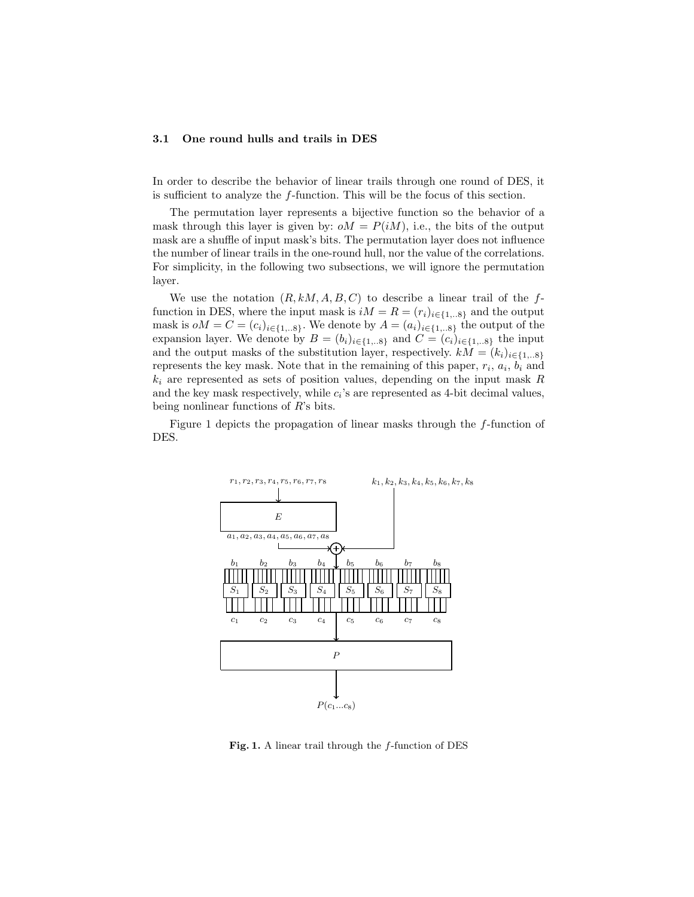### 3.1 One round hulls and trails in DES

In order to describe the behavior of linear trails through one round of DES, it is sufficient to analyze the f-function. This will be the focus of this section.

The permutation layer represents a bijective function so the behavior of a mask through this layer is given by:  $oM = P(iM)$ , i.e., the bits of the output mask are a shuffle of input mask's bits. The permutation layer does not influence the number of linear trails in the one-round hull, nor the value of the correlations. For simplicity, in the following two subsections, we will ignore the permutation layer.

We use the notation  $(R, kM, A, B, C)$  to describe a linear trail of the ffunction in DES, where the input mask is  $iM = R = (r_i)_{i \in \{1...8\}}$  and the output mask is  $oM = C = (c_i)_{i \in \{1,..8\}}$ . We denote by  $A = (a_i)_{i \in \{1,..8\}}$  the output of the expansion layer. We denote by  $B = (b_i)_{i \in \{1,..8\}}$  and  $C = (c_i)_{i \in \{1,..8\}}$  the input and the output masks of the substitution layer, respectively.  $kM = (k_i)_{i \in \{1,..8\}}$ represents the key mask. Note that in the remaining of this paper,  $r_i$ ,  $a_i$ ,  $b_i$  and  $k_i$  are represented as sets of position values, depending on the input mask  $R$ and the key mask respectively, while  $c_i$ 's are represented as 4-bit decimal values, being nonlinear functions of R's bits.

Figure 1 depicts the propagation of linear masks through the f-function of DES.



Fig. 1. A linear trail through the  $f$ -function of DES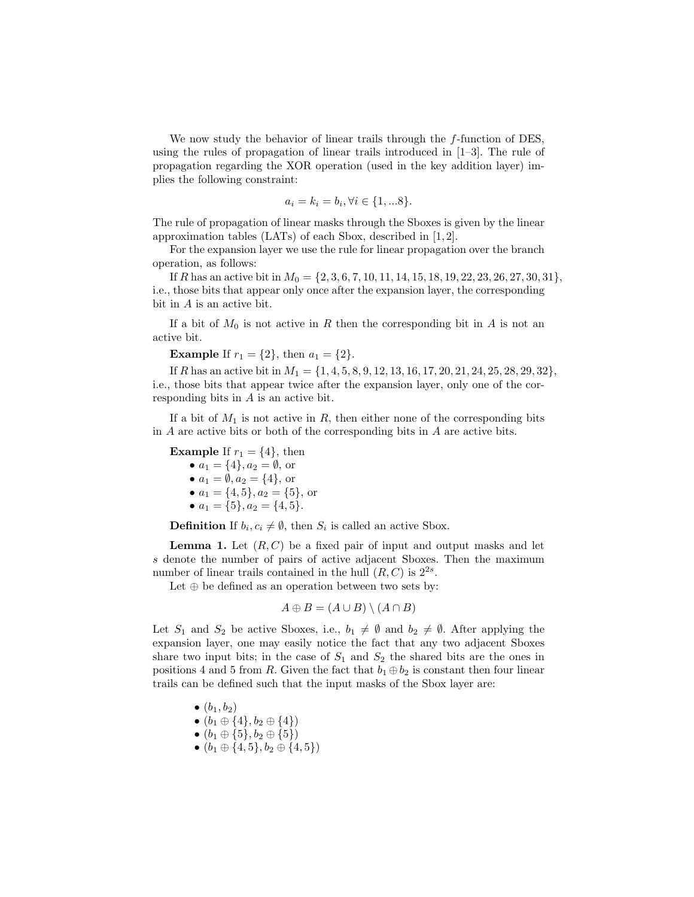We now study the behavior of linear trails through the f-function of DES, using the rules of propagation of linear trails introduced in  $[1-3]$ . The rule of propagation regarding the XOR operation (used in the key addition layer) implies the following constraint:

$$
a_i = k_i = b_i, \forall i \in \{1, \dots 8\}.
$$

The rule of propagation of linear masks through the Sboxes is given by the linear approximation tables (LATs) of each Sbox, described in [1, 2].

For the expansion layer we use the rule for linear propagation over the branch operation, as follows:

If R has an active bit in  $M_0 = \{2, 3, 6, 7, 10, 11, 14, 15, 18, 19, 22, 23, 26, 27, 30, 31\},\$ i.e., those bits that appear only once after the expansion layer, the corresponding bit in A is an active bit.

If a bit of  $M_0$  is not active in R then the corresponding bit in A is not an active bit.

**Example** If  $r_1 = \{2\}$ , then  $a_1 = \{2\}$ .

If R has an active bit in  $M_1 = \{1, 4, 5, 8, 9, 12, 13, 16, 17, 20, 21, 24, 25, 28, 29, 32\}$ , i.e., those bits that appear twice after the expansion layer, only one of the corresponding bits in A is an active bit.

If a bit of  $M_1$  is not active in R, then either none of the corresponding bits in A are active bits or both of the corresponding bits in A are active bits.

**Example** If  $r_1 = \{4\}$ , then •  $a_1 = \{4\}, a_2 = \emptyset$ , or •  $a_1 = \emptyset, a_2 = \{4\}, \text{ or }$ •  $a_1 = \{4, 5\}, a_2 = \{5\}, \text{ or }$ •  $a_1 = \{5\}, a_2 = \{4, 5\}.$ 

**Definition** If  $b_i, c_i \neq \emptyset$ , then  $S_i$  is called an active Sbox.

**Lemma 1.** Let  $(R, C)$  be a fixed pair of input and output masks and let s denote the number of pairs of active adjacent Sboxes. Then the maximum number of linear trails contained in the hull  $(R, C)$  is  $2^{2s}$ .

Let  $\oplus$  be defined as an operation between two sets by:

$$
A \oplus B = (A \cup B) \setminus (A \cap B)
$$

Let  $S_1$  and  $S_2$  be active Sboxes, i.e.,  $b_1 \neq \emptyset$  and  $b_2 \neq \emptyset$ . After applying the expansion layer, one may easily notice the fact that any two adjacent Sboxes share two input bits; in the case of  $S_1$  and  $S_2$  the shared bits are the ones in positions 4 and 5 from R. Given the fact that  $b_1 \oplus b_2$  is constant then four linear trails can be defined such that the input masks of the Sbox layer are:

- $\bullet$   $(b_1, b_2)$
- $(b_1 \oplus \{4\}, b_2 \oplus \{4\})$

$$
\bullet (b_1 \oplus \{5\}, b_2 \oplus \{5\})
$$

•  $(b_1 \oplus \{4,5\}, b_2 \oplus \{4,5\})$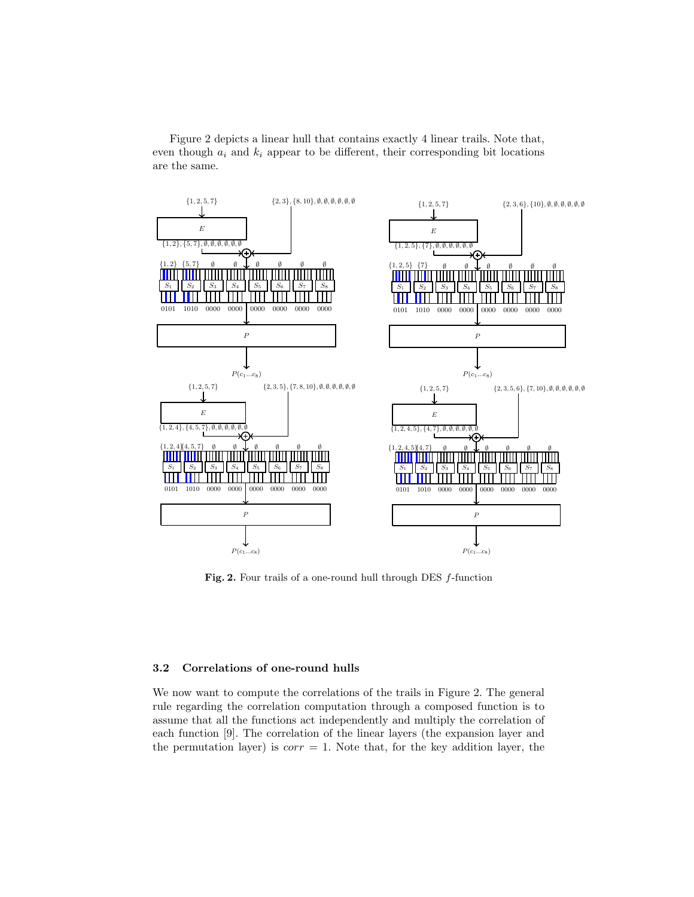Figure 2 depicts a linear hull that contains exactly 4 linear trails. Note that, even though  $a_i$  and  $k_i$  appear to be different, their corresponding bit locations are the same.



Fig. 2. Four trails of a one-round hull through DES f-function

# 3.2 Correlations of one-round hulls

We now want to compute the correlations of the trails in Figure 2. The general rule regarding the correlation computation through a composed function is to assume that all the functions act independently and multiply the correlation of each function [9]. The correlation of the linear layers (the expansion layer and the permutation layer) is  $corr = 1$ . Note that, for the key addition layer, the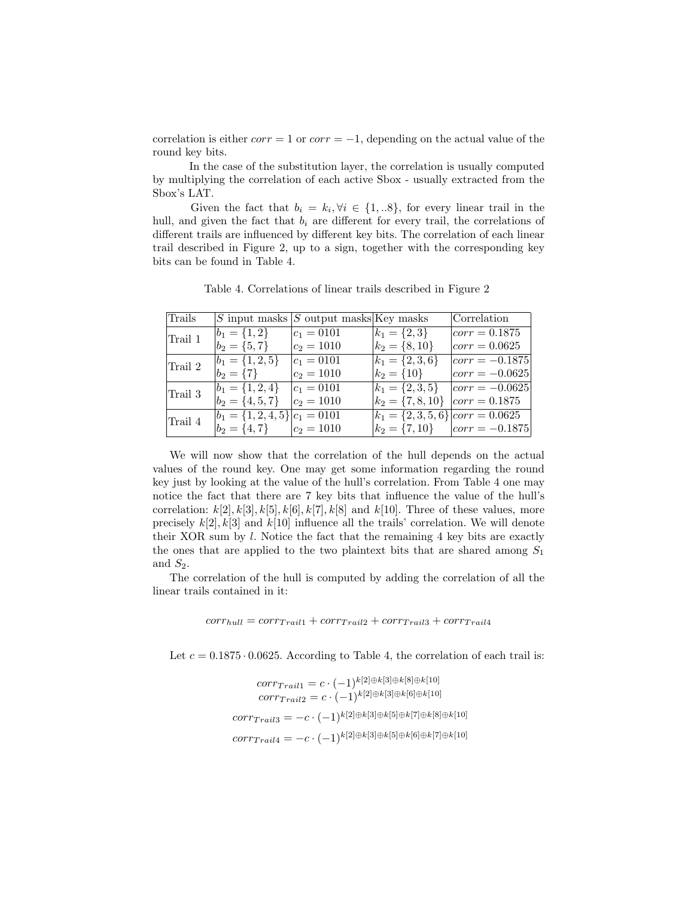correlation is either  $corr = 1$  or  $corr = -1$ , depending on the actual value of the round key bits.

In the case of the substitution layer, the correlation is usually computed by multiplying the correlation of each active Sbox - usually extracted from the Sbox's LAT.

Given the fact that  $b_i = k_i, \forall i \in \{1,..8\}$ , for every linear trail in the hull, and given the fact that  $b_i$  are different for every trail, the correlations of different trails are influenced by different key bits. The correlation of each linear trail described in Figure 2, up to a sign, together with the corresponding key bits can be found in Table 4.

| Trails  |                                     | S input masks $ S$ output masks Key masks |                                        | Correlation                          |
|---------|-------------------------------------|-------------------------------------------|----------------------------------------|--------------------------------------|
| Trail 1 | $b_1 = \{1,2\}$                     | $ c_1 = 0101$                             | $k_1 = \{2,3\}$                        | $ corr = 0.1875$                     |
|         | $b_2 = \{5, 7\}$                    | $c_2 = 1010$                              | $k_2 = \{8, 10\}$                      | $ corr = 0.0625$                     |
| Trail 2 | $b_1 = \{1, 2, 5\}$                 | $ c_1 = 0101$                             | $k_1 = \{2,3,6\}$                      | $ corr = -0.1875 $                   |
|         | $b_2 = \{7\}$                       | $ c_2=1010$                               | $k_2 = \{10\}$                         | $ corr = -0.0625 $                   |
| Trail 3 | $b_1 = \{1, 2, 4\}$                 | $c_1 = 0101$                              | $k_1 = \{2,3,5\}$                      | $ corr = -0.0625 $                   |
|         | $b_2 = \{4, 5, 7\}$                 | $c_2 = 1010$                              | $k_2 = \{7, 8, 10\}$                   | $ corr = 0.1875$                     |
| Trail 4 | $b_1 = \{1, 2, 4, 5\}   c_1 = 0101$ |                                           | $k_1 = \{2, 3, 5, 6\}   corr = 0.0625$ |                                      |
|         | $ b_2 = \{4, 7\}$ $ c_2 = 1010$     |                                           |                                        | $k_2 = \{7, 10\}$ $ corr = -0.1875 $ |

Table 4. Correlations of linear trails described in Figure 2

We will now show that the correlation of the hull depends on the actual values of the round key. One may get some information regarding the round key just by looking at the value of the hull's correlation. From Table 4 one may notice the fact that there are 7 key bits that influence the value of the hull's correlation:  $k[2], k[3], k[5], k[6], k[7], k[8]$  and  $k[10]$ . Three of these values, more precisely  $k[2], k[3]$  and  $k[10]$  influence all the trails' correlation. We will denote their XOR sum by  $l$ . Notice the fact that the remaining 4 key bits are exactly the ones that are applied to the two plaintext bits that are shared among  $S_1$ and  $S_2$ .

The correlation of the hull is computed by adding the correlation of all the linear trails contained in it:

 $corr_{hull} = corr_{Tail1} + corr_{Tail2} + corr_{Tail3} + corr_{Tail4}$ 

Let  $c = 0.1875 \cdot 0.0625$ . According to Table 4, the correlation of each trail is:

$$
corr_{Tail1} = c \cdot (-1)^{k[2] \oplus k[3] \oplus k[8] \oplus k[10]}
$$

$$
corr_{Tail2} = c \cdot (-1)^{k[2] \oplus k[3] \oplus k[6] \oplus k[10]}
$$

$$
corr_{Tail3} = -c \cdot (-1)^{k[2] \oplus k[3] \oplus k[5] \oplus k[7] \oplus k[8] \oplus k[10]}
$$

$$
corr_{Tail4} = -c \cdot (-1)^{k[2] \oplus k[3] \oplus k[5] \oplus k[6] \oplus k[7] \oplus k[10]}
$$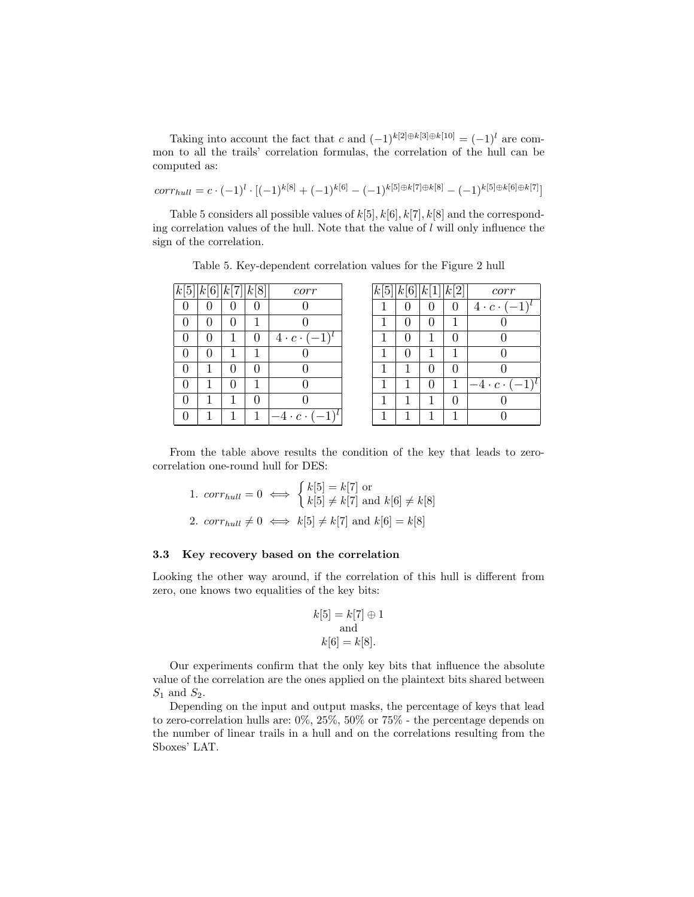Taking into account the fact that c and  $(-1)^{k[2]\oplus k[3]\oplus k[10]} = (-1)^{l}$  are common to all the trails' correlation formulas, the correlation of the hull can be computed as:

$$
corr_{hull} = c \cdot (-1)^{l} \cdot [(-1)^{k[8]} + (-1)^{k[6]} - (-1)^{k[5] \oplus k[7] \oplus k[8]} - (-1)^{k[5] \oplus k[6] \oplus k[7]}]
$$

Table 5 considers all possible values of  $k[5], k[6], k[7], k[8]$  and the corresponding correlation values of the hull. Note that the value of  $l$  will only influence the sign of the correlation.

| $\bar{k}$ [5]    | k[6] k[7] k[8] |                  |                  | corr                                   |
|------------------|----------------|------------------|------------------|----------------------------------------|
| 0                | 0              | $\left( \right)$ | ( )              | 0                                      |
| 0                | 0              | $\left( \right)$ |                  | 0                                      |
| $\mathcal{O}$    | $\mathbf{0}$   |                  | $\left( \right)$ | $4 \cdot c \cdot ($<br>$\sqsupseteq_1$ |
| $\Omega$         | $\mathbf{0}$   |                  | 1                |                                        |
| 0                |                | 0                | $\left( \right)$ | $\mathcal{O}$                          |
| 0                |                | $\left( \right)$ | 1                | $\mathcal{O}$                          |
| $\left( \right)$ |                | 1                | $\left( \right)$ | $\mathcal{O}$                          |
| 0                |                |                  | 1                | l<br>$\cdot c \cdot (-1)$<br>4         |

Table 5. Key-dependent correlation values for the Figure 2 hull

| $\left k[5] k[6] k[1] k[2]\right $ |   |   |   | corr                          |
|------------------------------------|---|---|---|-------------------------------|
|                                    |   |   | 0 | $(-1)$<br>$4 \cdot c \cdot ($ |
|                                    | 0 | 0 |   |                               |
|                                    | 0 |   | 0 |                               |
|                                    | 0 |   |   |                               |
|                                    |   | 0 | 0 | 0                             |
|                                    |   | 0 |   | $-4\cdot c\cdot$<br>$(-1)$    |
|                                    |   |   | 0 |                               |
|                                    |   |   |   |                               |

From the table above results the condition of the key that leads to zerocorrelation one-round hull for DES:

1. 
$$
corr_{hull} = 0 \iff \begin{cases} k[5] = k[7] \text{ or} \\ k[5] \neq k[7] \text{ and } k[6] \neq k[8] \end{cases}
$$

2.  $corr_{hull} \neq 0 \iff k[5] \neq k[7]$  and  $k[6] = k[8]$ 

### 3.3 Key recovery based on the correlation

Looking the other way around, if the correlation of this hull is different from zero, one knows two equalities of the key bits:

$$
k[5] = k[7] \oplus 1
$$
  
and  

$$
k[6] = k[8].
$$

Our experiments confirm that the only key bits that influence the absolute value of the correlation are the ones applied on the plaintext bits shared between  $S_1$  and  $S_2$ .

Depending on the input and output masks, the percentage of keys that lead to zero-correlation hulls are: 0%, 25%, 50% or 75% - the percentage depends on the number of linear trails in a hull and on the correlations resulting from the Sboxes' LAT.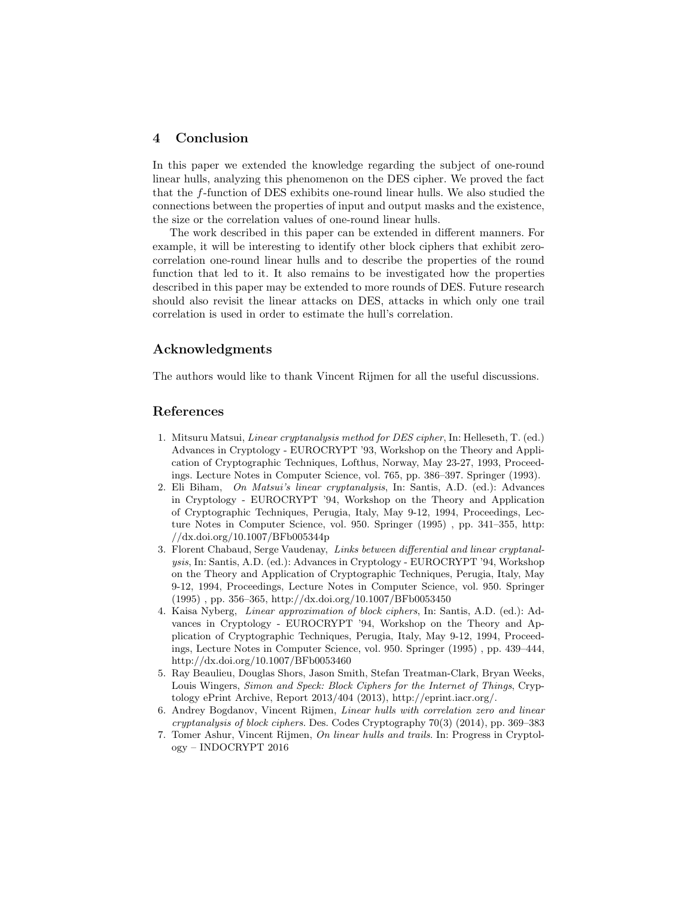# 4 Conclusion

In this paper we extended the knowledge regarding the subject of one-round linear hulls, analyzing this phenomenon on the DES cipher. We proved the fact that the f-function of DES exhibits one-round linear hulls. We also studied the connections between the properties of input and output masks and the existence, the size or the correlation values of one-round linear hulls.

The work described in this paper can be extended in different manners. For example, it will be interesting to identify other block ciphers that exhibit zerocorrelation one-round linear hulls and to describe the properties of the round function that led to it. It also remains to be investigated how the properties described in this paper may be extended to more rounds of DES. Future research should also revisit the linear attacks on DES, attacks in which only one trail correlation is used in order to estimate the hull's correlation.

# Acknowledgments

The authors would like to thank Vincent Rijmen for all the useful discussions.

# References

- 1. Mitsuru Matsui, Linear cryptanalysis method for DES cipher, In: Helleseth, T. (ed.) Advances in Cryptology - EUROCRYPT '93, Workshop on the Theory and Application of Cryptographic Techniques, Lofthus, Norway, May 23-27, 1993, Proceedings. Lecture Notes in Computer Science, vol. 765, pp. 386–397. Springer (1993).
- 2. Eli Biham, On Matsui's linear cryptanalysis, In: Santis, A.D. (ed.): Advances in Cryptology - EUROCRYPT '94, Workshop on the Theory and Application of Cryptographic Techniques, Perugia, Italy, May 9-12, 1994, Proceedings, Lecture Notes in Computer Science, vol. 950. Springer (1995) , pp. 341–355, http: //dx.doi.org/10.1007/BFb005344p
- 3. Florent Chabaud, Serge Vaudenay, Links between differential and linear cryptanalysis, In: Santis, A.D. (ed.): Advances in Cryptology - EUROCRYPT '94, Workshop on the Theory and Application of Cryptographic Techniques, Perugia, Italy, May 9-12, 1994, Proceedings, Lecture Notes in Computer Science, vol. 950. Springer (1995) , pp. 356–365, http://dx.doi.org/10.1007/BFb0053450
- 4. Kaisa Nyberg, Linear approximation of block ciphers, In: Santis, A.D. (ed.): Advances in Cryptology - EUROCRYPT '94, Workshop on the Theory and Application of Cryptographic Techniques, Perugia, Italy, May 9-12, 1994, Proceedings, Lecture Notes in Computer Science, vol. 950. Springer (1995) , pp. 439–444, http://dx.doi.org/10.1007/BFb0053460
- 5. Ray Beaulieu, Douglas Shors, Jason Smith, Stefan Treatman-Clark, Bryan Weeks, Louis Wingers, Simon and Speck: Block Ciphers for the Internet of Things, Cryptology ePrint Archive, Report 2013/404 (2013), http://eprint.iacr.org/.
- 6. Andrey Bogdanov, Vincent Rijmen, Linear hulls with correlation zero and linear cryptanalysis of block ciphers. Des. Codes Cryptography 70(3) (2014), pp. 369–383
- 7. Tomer Ashur, Vincent Rijmen, On linear hulls and trails. In: Progress in Cryptology – INDOCRYPT 2016